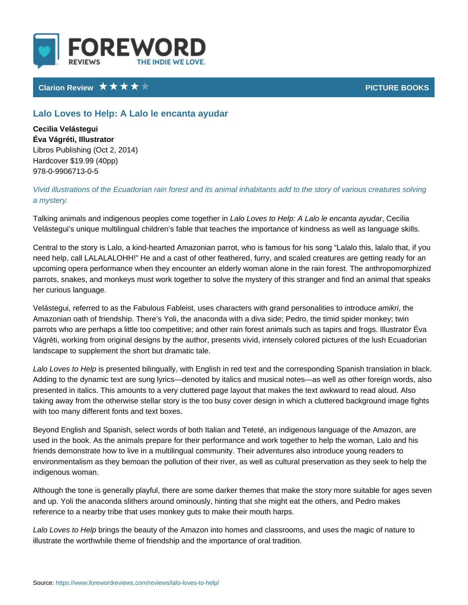# Clarion Review **PICTURE BO**

## Lalo Loves to Help: A Lalo le encanta ayudar

Cecilia Velástegui Éva Vágréti, Illustrator Libros Publishing (Oct 2, 2014) Hardcover \$19.99 (40pp) 978-0-9906713-0-5

# Vivid illustrations of the Ecuadorian rain forest and its animal inhabitants add a mystery.

Talking animals and indigenous peopLlærbocLoomveestot**geheldep: in Lalo le Cencianaa** ayuda Velástegui s unique multilingual children s fable that teaches the importance of

Central to the story is Lalo, a kind-hearted Amazonian parrot, who is famous fo need help, call LALALALOHH! He and a cast of other feathered, furry, and scal upcoming opera performance when they encounter an elderly woman alone in the parrots, snakes, and monkeys must work together to solve the mystery of this s her curious language.

Velástegui, referred to as the Fabulous Fableist, uses characteasnik intthing rand pe Amazonian oath of friendship. There s Yoli, the anaconda with a diva side; Ped parrots who are perhaps a little too competitive; and other rain forest animals a Vágréti, working from original designs by the author, presents vivid, intensely landscape to supplement the short but dramatic tale.

Lalo Loves tos Hperlep sented bilingually, with English in red text and the correspon Adding to the dynamic text are sung lyrics denoted by italics and musical notes presented in italics. This amounts to a very cluttered page layout that makes th taking away from the otherwise stellar story is the too busy cover design in whi with too many different fonts and text boxes.

Beyond English and Spanish, select words of both Italian and Teteté, an indige used in the book. As the animals prepare for their performance and work togeth friends demonstrate how to live in a multilingual community. Their adventures a environmentalism as they bemoan the pollution of their river, as well as cultura indigenous woman.

Although the tone is generally playful, there are some darker themes that make and up. Yoli the anaconda slithers around ominously, hinting that she might eat reference to a nearby tribe that uses monkey guts to make their mouth harps.

Lalo Loves to riHedp the beauty of the Amazon into homes and classrooms, and u illustrate the worthwhile theme of friendship and the importance of oral traditio